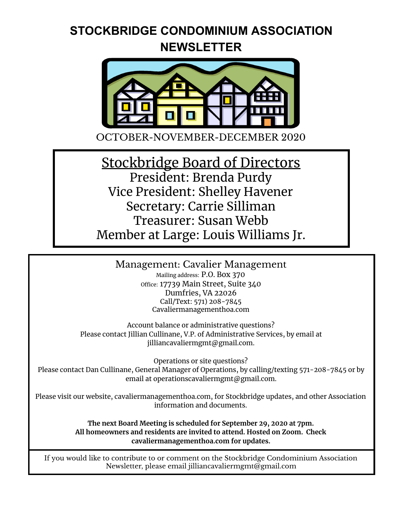### **STOCKBRIDGE CONDOMINIUM ASSOCIATION NEWSLETTER**



OCTOBER-NOVEMBER-DECEMBER 2020

Stockbridge Board of Directors President: Brenda Purdy Vice President: Shelley Havener Secretary: Carrie Silliman Treasurer: Susan Webb Member at Large: Louis Williams Jr.

Management: Cavalier Management

Mailing address: P.O. Box 370 office: 17739 Main Street, Suite 340 Dumfries, VA 22026 Call/Text: 571) 208-7845 Cavaliermanagementhoa.com

Account balance or administrative questions? Please contact Jillian Cullinane, V.P. of Administrative Services, by email at jilliancavaliermgmt@gmail.com.

Operations or site questions? Please contact Dan Cullinane, General Manager of Operations, by calling/texting 571-208-7845 or by email at operationscavaliermgmt@gmail.com.

Please visit our website, cavaliermanagementhoa.com, for Stockbridge updates, and other Association information and documents.

> **The next Board Meeting is scheduled for September 29, 2020 at 7pm. All homeowners and residents are invited to attend. Hosted on Zoom. Check cavaliermanagementhoa.com for updates.**

If you would like to contribute to or comment on the Stockbridge Condominium Association Newsletter, please email jilliancavaliermgmt@gmail.com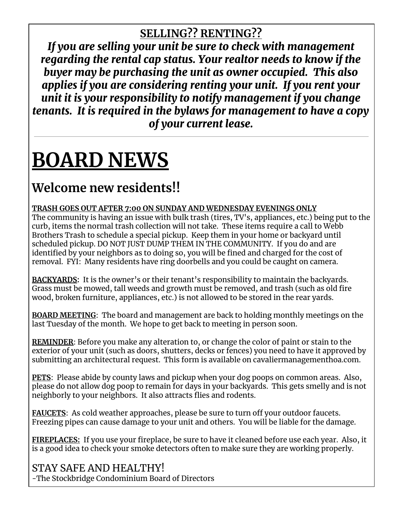#### **SELLING?? RENTING??**

*If you are selling your unit be sure to check with management regarding the rental cap status. Your realtor needs to know if the buyer may be purchasing the unit as owner occupied. This also applies if you are considering renting your unit. If you rent your unit it is your responsibility to notify management if you change tenants. It is required in the bylaws for management to have a copy of your current lease.*

# **BOARD NEWS**

## **Welcome new residents!!**

**TRASH GOES OUT AFTER 7:00 ON SUNDAY AND WEDNESDAY EVENINGS ONLY**

The community is having an issue with bulk trash (tires, TV's, appliances, etc.) being put to the curb, items the normal trash collection will not take. These items require a call to Webb Brothers Trash to schedule a special pickup. Keep them in your home or backyard until scheduled pickup. DO NOT JUST DUMP THEM IN THE COMMUNITY. If you do and are identified by your neighbors as to doing so, you will be fined and charged for the cost of removal. FYI: Many residents have ring doorbells and you could be caught on camera.

**BACKYARDS:** It is the owner's or their tenant's responsibility to maintain the backyards. Grass must be mowed, tall weeds and growth must be removed, and trash (such as old fire wood, broken furniture, appliances, etc.) is not allowed to be stored in the rear yards.

**BOARD MEETING**: The board and management are back to holding monthly meetings on the last Tuesday of the month. We hope to get back to meeting in person soon.

**REMINDER**: Before you make any alteration to, or change the color of paint or stain to the exterior of your unit (such as doors, shutters, decks or fences) you need to have it approved by submitting an architectural request. This form is available on cavaliermanagementhoa.com.

**PETS**: Please abide by county laws and pickup when your dog poops on common areas. Also, please do not allow dog poop to remain for days in your backyards. This gets smelly and is not neighborly to your neighbors. It also attracts flies and rodents.

**FAUCETS**: As cold weather approaches, please be sure to turn off your outdoor faucets. Freezing pipes can cause damage to your unit and others. You will be liable for the damage.

**FIREPLACES:** If you use your fireplace, be sure to have it cleaned before use each year. Also, it is a good idea to check your smoke detectors often to make sure they are working properly.

#### STAY SAFE AND HEALTHY!

-The Stockbridge Condominium Board of Directors